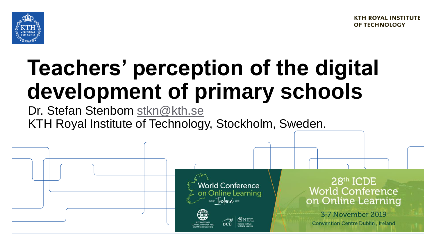

# **Teachers' perception of the digital development of primary schools**

Dr. Stefan Stenbom [stkn@kth.se](mailto:stkn@kth.se) KTH Royal Institute of Technology, Stockholm, Sweden.

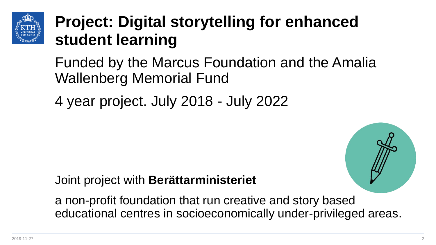

### **Project: Digital storytelling for enhanced student learning**

Funded by the Marcus Foundation and the Amalia Wallenberg Memorial Fund

4 year project. July 2018 - July 2022

#### Joint project with **Berättarministeriet**

a non-profit foundation that run creative and story based educational centres in socioeconomically under-privileged areas.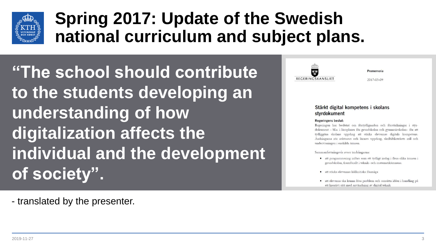

## **Spring 2017: Update of the Swedish national curriculum and subject plans.**

**"The school should contribute to the students developing an understanding of how digitalization affects the individual and the development of society".** 

- translated by the presenter.



Promemoria

2017-03-09

#### Stärkt digital kompetens i skolans styrdokument

#### **Regeringens beslut:**

Regeringen har beslutat om förtydliganden och förstärkningar i styrdokument -- bl.a. i läroplaner för grundskolan och gymnasieskolan-- för att tydliggöra skolans uppdrag att stärka elevernas digitala kompetens. Ändringarna rör rektorers och lärares uppdrag, skolbibliotekets roll och undervisningen i enskilda ämnen.

Sammanfattningsvis avser ändringarna:

- · att programmering införs som ett tydligt inslag i flera olika ämnen i grundskolan, framförallt i teknik- och matematikämnena.
- · att stärka elevernas källkritiska förmåga
- · att eleverna ska kunna lösa problem och omsätta idéer i handling på ett kreativt sätt med användning av digital teknik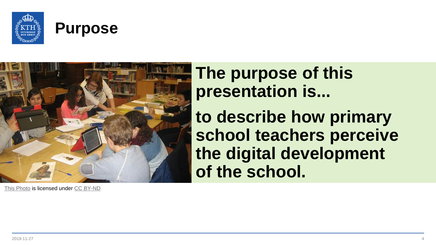





**The purpose of this presentation is...** 

**to describe how primary school teachers perceive the digital development of the school.** 

[This Photo](http://theconversation.com/do-mobile-devices-in-the-classroom-really-improve-learning-outcomes-38740) is licensed under [CC BY-ND](https://creativecommons.org/licenses/by-nd/3.0/)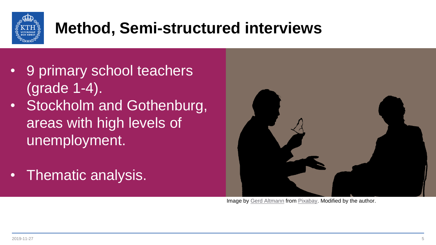

# **Method, Semi-structured interviews**

- 9 primary school teachers (grade 1-4).
- Stockholm and Gothenburg, areas with high levels of unemployment.
- Thematic analysis.



Image by [Gerd Altmann](https://pixabay.com/users/geralt-9301/?utm_source=link-attribution&utm_medium=referral&utm_campaign=image&utm_content=796135) from [Pixabay](https://pixabay.com/?utm_source=link-attribution&utm_medium=referral&utm_campaign=image&utm_content=796135). Modified by the author.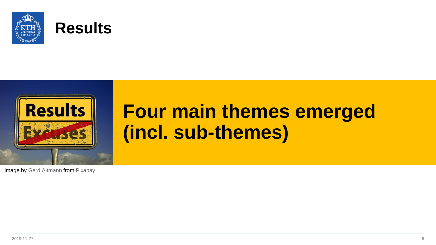





# **Four main themes emerged (incl. sub-themes)**

Image by [Gerd Altmann](https://pixabay.com/users/geralt-9301/?utm_source=link-attribution&utm_medium=referral&utm_campaign=image&utm_content=3236280) from [Pixabay](https://pixabay.com/?utm_source=link-attribution&utm_medium=referral&utm_campaign=image&utm_content=3236280)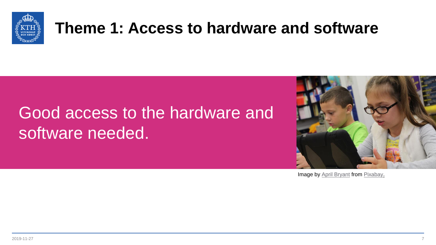

#### **Theme 1: Access to hardware and software**

# Good access to the hardware and software needed.



Image by **[April Bryant](https://pixabay.com/users/SchoolPRPro-1336922/?utm_source=link-attribution&utm_medium=referral&utm_campaign=image&utm_content=1126136)** from [Pixabay.](https://pixabay.com/?utm_source=link-attribution&utm_medium=referral&utm_campaign=image&utm_content=1126136)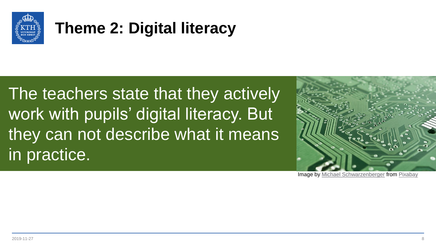

### **Theme 2: Digital literacy**

The teachers state that they actively work with pupils' digital literacy. But they can not describe what it means in practice.



**Image by [Michael Schwarzenberger](https://pixabay.com/users/blickpixel-52945/?utm_source=link-attribution&utm_medium=referral&utm_campaign=image&utm_content=453758) from [Pixabay](https://pixabay.com/?utm_source=link-attribution&utm_medium=referral&utm_campaign=image&utm_content=453758)**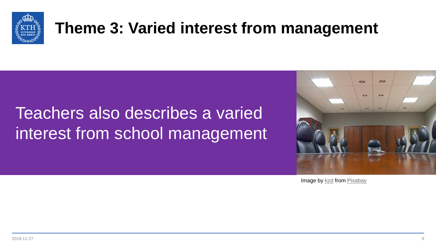

#### **Theme 3: Varied interest from management**

# Teachers also describes a varied interest from school management



Image by [kzd](https://pixabay.com/users/kzd-1443/?utm_source=link-attribution&utm_medium=referral&utm_campaign=image&utm_content=10270) from [Pixabay](https://pixabay.com/?utm_source=link-attribution&utm_medium=referral&utm_campaign=image&utm_content=10270)